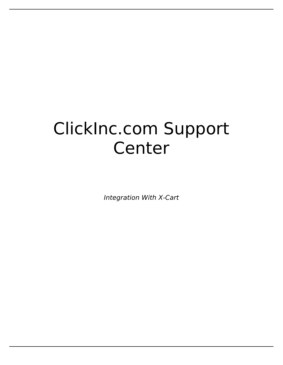## ClickInc.com Support Center

*Integration With X-Cart*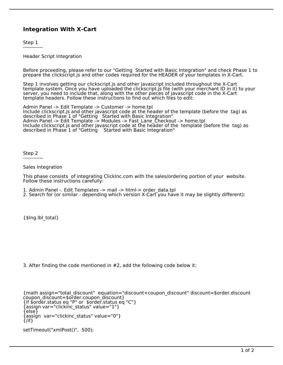## **Integration With X-Cart**

Step 1 ------------

Header Script Integration

Before proceeding, please refer to our "Getting Started with Basic Integration" and check Phase 1 to prepare the clickscript.js and other codes required for the HEADER of your templates in X-Cart.

Step 1 involves getting our clickscript.js and other javascript included throughout the X-Cart template system. Once you have uploaded the clickscript.js file (with your merchant ID in it) to your server, you need to include that, along with the other pieces of javascript code in the X-Cart template headers. Follow these instructions to find out which files to edit:

Admin Panel -> Edit Template -> Customer -> home.tpl Include clickscript.js and other javascript code at the header of the template (before the tag) as described in Phase 1 of "Getting Started with Basic Integration" Admin Panel -> Edit Template -> Modules -> Fast\_Lane\_Checkout -> home.tpl Include clickscript.js and other javascript code at the header of the template (before the tag) as described in Phase 1 of "Getting Started with Basic Integration"

Step 2 ------------

Sales Integration

This phase consists of integrating ClickInc.com with the sales/ordering portion of your website. Follow these instructions carefully:

- 1. Admin Panel -. Edit Templates -> mail -> html-> order\_data.tpl
- 2. Search for (or similar depending which version X-Cart you have it may be slightly different):

{\$lng.lbl\_total}

3. After finding the code mentioned in #2, add the following code below it:

```
{math assign="total_discount" equation="discount+coupon_discount" discount=$order.discount 
coupon discount=$order.coupon discount}
{if $order.status eq "P" or $order.status eq "C"}
{assign var="clickinc_status" value="1"}
{else}
{assign var="clickinc_status" value="0"}
\{/if}
```

```
setTimeout("xmlPost()", 500);
```